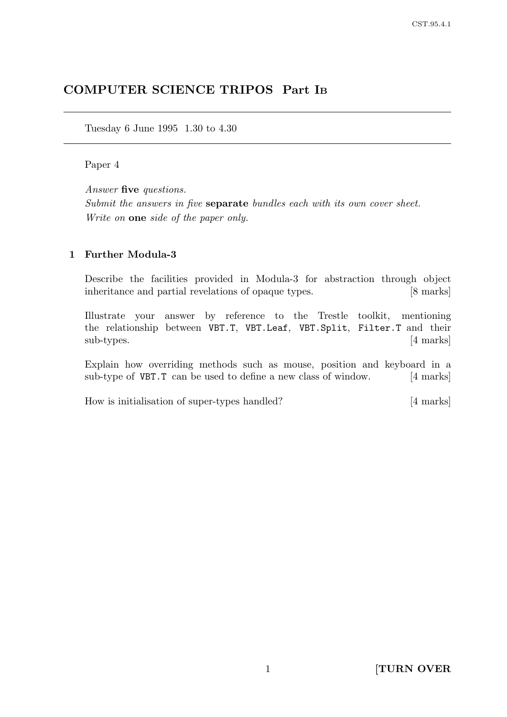# COMPUTER SCIENCE TRIPOS Part I<sup>B</sup>

Tuesday 6 June 1995 1.30 to 4.30

#### Paper 4

Answer five questions. Submit the answers in five **separate** bundles each with its own cover sheet. Write on one side of the paper only.

## 1 Further Modula-3

Describe the facilities provided in Modula-3 for abstraction through object inheritance and partial revelations of opaque types. [8 marks]

Illustrate your answer by reference to the Trestle toolkit, mentioning the relationship between VBT.T, VBT.Leaf, VBT.Split, Filter.T and their sub-types. [4 marks]

Explain how overriding methods such as mouse, position and keyboard in a sub-type of **VBT.T** can be used to define a new class of window. [4 marks]

How is initialisation of super-types handled? [4 marks]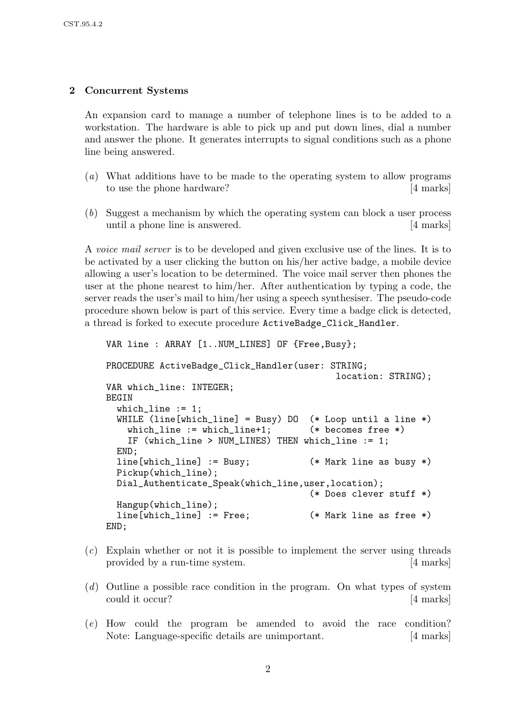### 2 Concurrent Systems

An expansion card to manage a number of telephone lines is to be added to a workstation. The hardware is able to pick up and put down lines, dial a number and answer the phone. It generates interrupts to signal conditions such as a phone line being answered.

- (a) What additions have to be made to the operating system to allow programs to use the phone hardware? [4 marks]
- (b) Suggest a mechanism by which the operating system can block a user process until a phone line is answered. [4 marks]

A voice mail server is to be developed and given exclusive use of the lines. It is to be activated by a user clicking the button on his/her active badge, a mobile device allowing a user's location to be determined. The voice mail server then phones the user at the phone nearest to him/her. After authentication by typing a code, the server reads the user's mail to him/her using a speech synthesiser. The pseudo-code procedure shown below is part of this service. Every time a badge click is detected, a thread is forked to execute procedure ActiveBadge\_Click\_Handler.

```
VAR line : ARRAY [1..NUM_LINES] OF {Free,Busy};
PROCEDURE ActiveBadge_Click_Handler(user: STRING;
                                          location: STRING);
VAR which_line: INTEGER;
BEGIN
  which_line := 1;
  WHILE (line[which_line] = Busy) DO (* Loop until a line *)which_line := which_line+1; (* becomes free *)
    IF (which_line > NUM_LINES) THEN which_line := 1;
  END;
  line[which_line] := Busy; (* Mark line as busy *)
  Pickup(which_line);
 Dial_Authenticate_Speak(which_line,user,location);
                                     (* Does clever stuff *)
  Hangup(which_line);
  line[which_line] := Free; (* Mark line as free *)
END;
```
- (c) Explain whether or not it is possible to implement the server using threads provided by a run-time system. [4 marks]
- $(d)$  Outline a possible race condition in the program. On what types of system could it occur? [4 marks]
- (e) How could the program be amended to avoid the race condition? Note: Language-specific details are unimportant. [4 marks]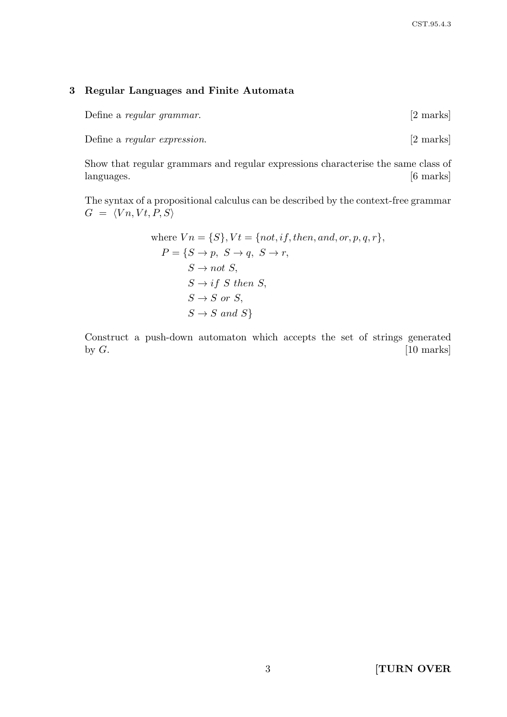## 3 Regular Languages and Finite Automata

| Define a <i>regular grammar</i> .    | [2 marks] |
|--------------------------------------|-----------|
| Define a <i>regular expression</i> . | [2 marks] |

Show that regular grammars and regular expressions characterise the same class of languages. [6 marks]

The syntax of a propositional calculus can be described by the context-free grammar  $G = \langle V_n, V_t, P, S \rangle$ 

where 
$$
Vn = \{S\}
$$
,  $Vt = \{not, if, then, and, or, p, q, r\}$ ,  
\n $P = \{S \rightarrow p, S \rightarrow q, S \rightarrow r,$   
\n $S \rightarrow not S,$   
\n $S \rightarrow if S then S,$   
\n $S \rightarrow S \text{ or } S,$   
\n $S \rightarrow S \text{ and } S\}$ 

Construct a push-down automaton which accepts the set of strings generated by  $G$ .  $[10 \text{ marks}]$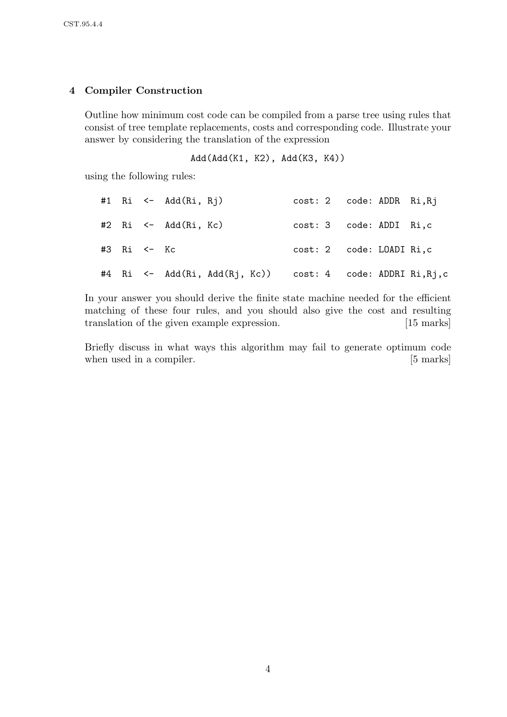#### 4 Compiler Construction

Outline how minimum cost code can be compiled from a parse tree using rules that consist of tree template replacements, costs and corresponding code. Illustrate your answer by considering the translation of the expression

Add(Add(K1, K2), Add(K3, K4))

using the following rules:

|             | #1 $\mathbb{R}$ $\leftarrow$ $\mathbb{A}$ dd $(\mathbb{R}$ i, $\mathbb{R}$ j) |                           |  | cost: 2 code: ADDR Ri, Rj |  |
|-------------|-------------------------------------------------------------------------------|---------------------------|--|---------------------------|--|
|             | $#2$ Ri $\leftarrow$ Add $(Ri, Kc)$                                           | cost: 3 code: ADDI Ri, c  |  |                           |  |
| #3 Ri <- Kc |                                                                               | cost: 2 code: LOADI Ri, c |  |                           |  |
|             | #4 Ri <- Add(Ri, Add(Rj, Kc))    cost: 4    code: ADDRI Ri, Rj, c             |                           |  |                           |  |

In your answer you should derive the finite state machine needed for the efficient matching of these four rules, and you should also give the cost and resulting translation of the given example expression. [15 marks]

Briefly discuss in what ways this algorithm may fail to generate optimum code when used in a compiler. [5 marks]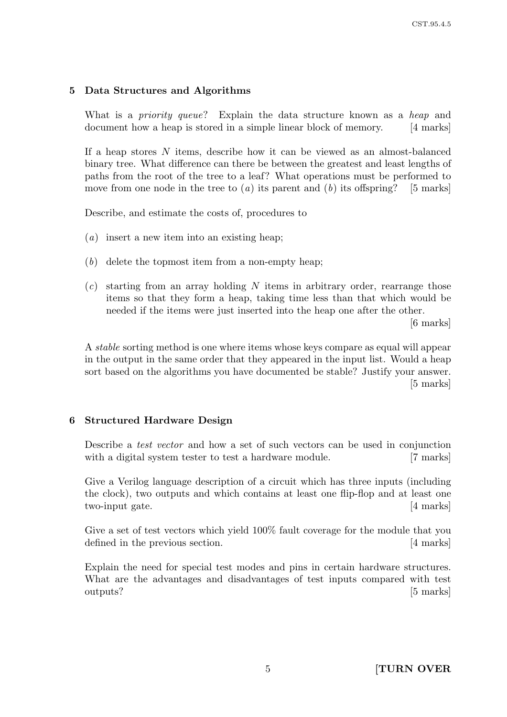## 5 Data Structures and Algorithms

What is a *priority queue*? Explain the data structure known as a *heap* and document how a heap is stored in a simple linear block of memory. [4 marks]

If a heap stores N items, describe how it can be viewed as an almost-balanced binary tree. What difference can there be between the greatest and least lengths of paths from the root of the tree to a leaf? What operations must be performed to move from one node in the tree to (a) its parent and (b) its offspring? [5 marks]

Describe, and estimate the costs of, procedures to

- (a) insert a new item into an existing heap;
- (b) delete the topmost item from a non-empty heap;
- $(c)$  starting from an array holding N items in arbitrary order, rearrange those items so that they form a heap, taking time less than that which would be needed if the items were just inserted into the heap one after the other.

[6 marks]

A stable sorting method is one where items whose keys compare as equal will appear in the output in the same order that they appeared in the input list. Would a heap sort based on the algorithms you have documented be stable? Justify your answer. [5 marks]

#### 6 Structured Hardware Design

Describe a test vector and how a set of such vectors can be used in conjunction with a digital system tester to test a hardware module. [7 marks]

Give a Verilog language description of a circuit which has three inputs (including the clock), two outputs and which contains at least one flip-flop and at least one two-input gate. [4 marks]

Give a set of test vectors which yield 100% fault coverage for the module that you defined in the previous section. [4 marks]

Explain the need for special test modes and pins in certain hardware structures. What are the advantages and disadvantages of test inputs compared with test outputs? [5 marks]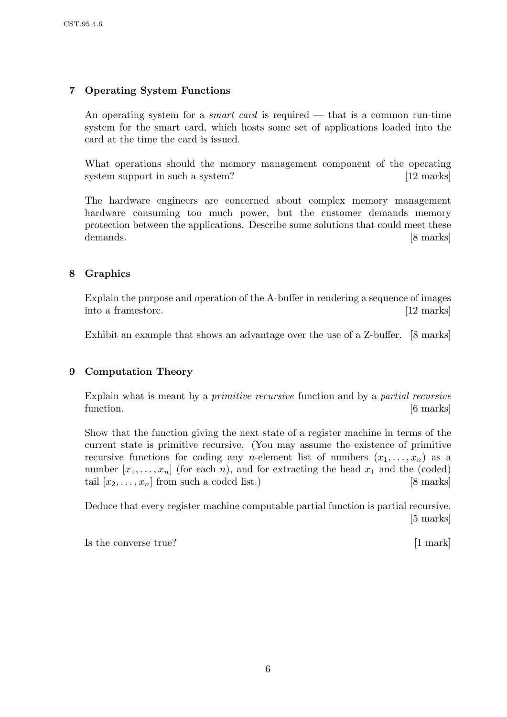# 7 Operating System Functions

An operating system for a *smart card* is required  $-$  that is a common run-time system for the smart card, which hosts some set of applications loaded into the card at the time the card is issued.

What operations should the memory management component of the operating system support in such a system? [12 marks]

The hardware engineers are concerned about complex memory management hardware consuming too much power, but the customer demands memory protection between the applications. Describe some solutions that could meet these demands. [8 marks]

## 8 Graphics

Explain the purpose and operation of the A-buffer in rendering a sequence of images into a framestore. [12 marks]

Exhibit an example that shows an advantage over the use of a Z-buffer. [8 marks]

## 9 Computation Theory

Explain what is meant by a primitive recursive function and by a partial recursive function. [6 marks]

Show that the function giving the next state of a register machine in terms of the current state is primitive recursive. (You may assume the existence of primitive recursive functions for coding any *n*-element list of numbers  $(x_1, \ldots, x_n)$  as a number  $[x_1, \ldots, x_n]$  (for each n), and for extracting the head  $x_1$  and the (coded) tail  $[x_2, \ldots, x_n]$  from such a coded list.) [8 marks]

Deduce that every register machine computable partial function is partial recursive. [5 marks]

Is the converse true? [1 mark]